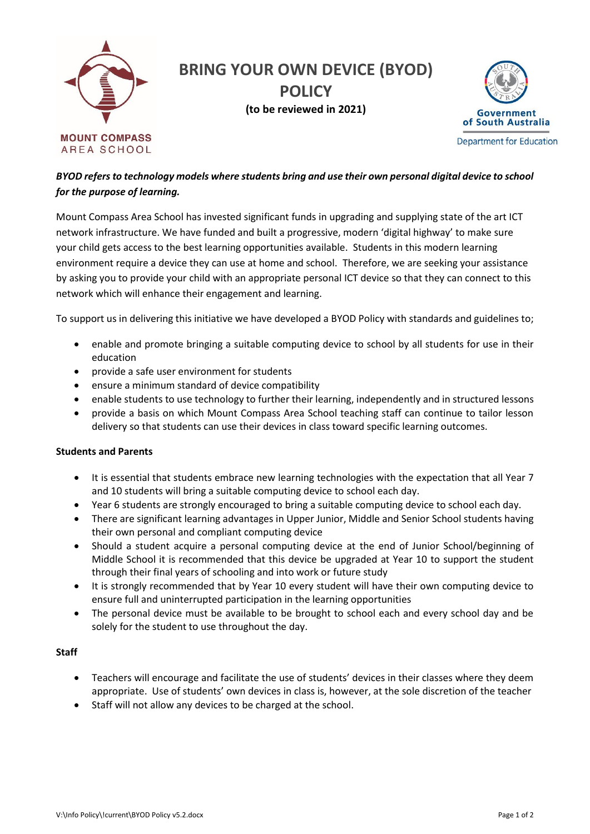

## *BYOD refers to technology models where students bring and use their own personal digital device to school for the purpose of learning.*

Mount Compass Area School has invested significant funds in upgrading and supplying state of the art ICT network infrastructure. We have funded and built a progressive, modern 'digital highway' to make sure your child gets access to the best learning opportunities available. Students in this modern learning environment require a device they can use at home and school. Therefore, we are seeking your assistance by asking you to provide your child with an appropriate personal ICT device so that they can connect to this network which will enhance their engagement and learning.

To support us in delivering this initiative we have developed a BYOD Policy with standards and guidelines to;

- enable and promote bringing a suitable computing device to school by all students for use in their education
- provide a safe user environment for students
- ensure a minimum standard of device compatibility
- enable students to use technology to further their learning, independently and in structured lessons
- provide a basis on which Mount Compass Area School teaching staff can continue to tailor lesson delivery so that students can use their devices in class toward specific learning outcomes.

## **Students and Parents**

- It is essential that students embrace new learning technologies with the expectation that all Year 7 and 10 students will bring a suitable computing device to school each day.
- Year 6 students are strongly encouraged to bring a suitable computing device to school each day.
- There are significant learning advantages in Upper Junior, Middle and Senior School students having their own personal and compliant computing device
- Should a student acquire a personal computing device at the end of Junior School/beginning of Middle School it is recommended that this device be upgraded at Year 10 to support the student through their final years of schooling and into work or future study
- It is strongly recommended that by Year 10 every student will have their own computing device to ensure full and uninterrupted participation in the learning opportunities
- The personal device must be available to be brought to school each and every school day and be solely for the student to use throughout the day.

## **Staff**

- Teachers will encourage and facilitate the use of students' devices in their classes where they deem appropriate. Use of students' own devices in class is, however, at the sole discretion of the teacher
- Staff will not allow any devices to be charged at the school.